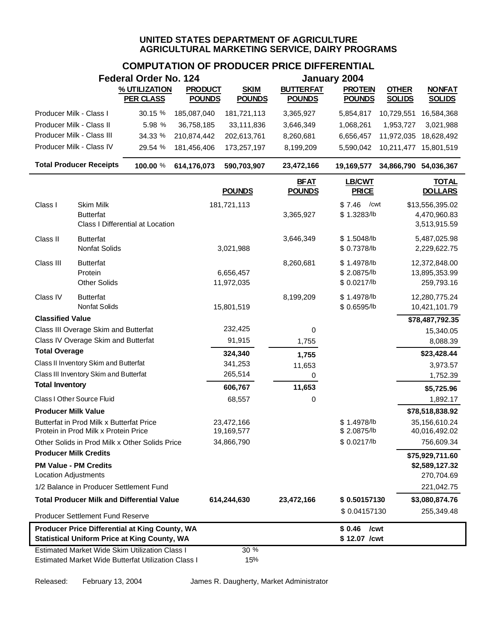## **COMPUTATION OF PRODUCER PRICE DIFFERENTIAL**

|                              |                                                                                                              | <b>Federal Order No. 124</b>     |                |                          |                              | January 2004                  |                       |                                |
|------------------------------|--------------------------------------------------------------------------------------------------------------|----------------------------------|----------------|--------------------------|------------------------------|-------------------------------|-----------------------|--------------------------------|
|                              |                                                                                                              | % UTILIZATION                    | <b>PRODUCT</b> | <b>SKIM</b>              | <b>BUTTERFAT</b>             | <b>PROTEIN</b>                | <b>OTHER</b>          | <b>NONFAT</b>                  |
|                              |                                                                                                              | <b>PER CLASS</b>                 | <b>POUNDS</b>  | <b>POUNDS</b>            | <b>POUNDS</b>                | <b>POUNDS</b>                 | <b>SOLIDS</b>         | <b>SOLIDS</b>                  |
| Producer Milk - Class I      |                                                                                                              | 30.15 %                          | 185,087,040    | 181,721,113              | 3,365,927                    | 5,854,817                     | 10,729,551            | 16,584,368                     |
| Producer Milk - Class II     |                                                                                                              | 5.98 %                           | 36,758,185     | 33,111,836               | 3,646,349                    | 1,068,261                     | 1,953,727             | 3,021,988                      |
|                              | Producer Milk - Class III                                                                                    | 34.33 %                          | 210,874,442    | 202,613,761              | 8,260,681                    | 6,656,457                     | 11,972,035            | 18,628,492                     |
|                              | Producer Milk - Class IV                                                                                     | 29.54 %                          | 181,456,406    | 173,257,197              | 8,199,209                    | 5,590,042                     | 10,211,477            | 15,801,519                     |
|                              | <b>Total Producer Receipts</b>                                                                               | 100.00 %                         | 614,176,073    | 590,703,907              | 23,472,166                   | 19,169,577                    | 34,866,790 54,036,367 |                                |
|                              |                                                                                                              |                                  |                | <b>POUNDS</b>            | <b>BFAT</b><br><b>POUNDS</b> | <b>LB/CWT</b><br><b>PRICE</b> |                       | <b>TOTAL</b><br><b>DOLLARS</b> |
| Class I                      | <b>Skim Milk</b>                                                                                             |                                  |                | 181,721,113              |                              | /cwt<br>\$7.46                |                       | \$13,556,395.02                |
|                              | <b>Butterfat</b>                                                                                             |                                  |                |                          | 3,365,927                    | \$1.3283/lb                   |                       | 4,470,960.83                   |
|                              |                                                                                                              | Class I Differential at Location |                |                          |                              |                               |                       | 3,513,915.59                   |
| Class II                     | <b>Butterfat</b>                                                                                             |                                  |                |                          | 3,646,349                    | \$1.5048/lb                   |                       | 5,487,025.98                   |
|                              | Nonfat Solids                                                                                                |                                  |                | 3,021,988                |                              | \$ 0.7378/lb                  |                       | 2,229,622.75                   |
| Class III                    | <b>Butterfat</b>                                                                                             |                                  |                |                          | 8,260,681                    | \$1.4978/b                    |                       | 12,372,848.00                  |
|                              | Protein                                                                                                      |                                  |                | 6,656,457                |                              | \$2.0875/lb                   |                       | 13,895,353.99                  |
|                              | <b>Other Solids</b>                                                                                          |                                  |                | 11,972,035               |                              | \$ 0.0217/lb                  |                       | 259,793.16                     |
| Class IV                     | <b>Butterfat</b>                                                                                             |                                  |                |                          | 8,199,209                    | \$1.4978/lb                   |                       | 12,280,775.24                  |
|                              | <b>Nonfat Solids</b>                                                                                         |                                  |                | 15,801,519               |                              | \$ 0.6595/lb                  |                       | 10,421,101.79                  |
| <b>Classified Value</b>      |                                                                                                              |                                  |                |                          |                              |                               |                       | \$78,487,792.35                |
|                              | Class III Overage Skim and Butterfat                                                                         |                                  |                | 232,425                  | 0                            |                               |                       | 15,340.05                      |
|                              | Class IV Overage Skim and Butterfat                                                                          |                                  |                | 91,915                   | 1,755                        |                               |                       | 8,088.39                       |
| <b>Total Overage</b>         |                                                                                                              |                                  |                | 324,340                  | 1,755                        |                               |                       | \$23,428.44                    |
|                              | Class II Inventory Skim and Butterfat                                                                        |                                  |                | 341,253                  | 11,653                       |                               |                       | 3,973.57                       |
| <b>Total Inventory</b>       | Class III Inventory Skim and Butterfat                                                                       |                                  |                | 265,514                  | $\Omega$                     |                               |                       | 1,752.39                       |
|                              |                                                                                                              |                                  |                | 606,767                  | 11,653                       |                               |                       | \$5,725.96                     |
|                              | Class I Other Source Fluid                                                                                   |                                  |                | 68,557                   | 0                            |                               |                       | 1,892.17                       |
| <b>Producer Milk Value</b>   |                                                                                                              |                                  |                |                          |                              |                               |                       | \$78,518,838.92                |
|                              | Butterfat in Prod Milk x Butterfat Price<br>Protein in Prod Milk x Protein Price                             |                                  |                | 23,472,166<br>19,169,577 |                              | \$1.4978/lb<br>\$2.0875/lb    |                       | 35,156,610.24<br>40,016,492.02 |
|                              | Other Solids in Prod Milk x Other Solids Price                                                               |                                  |                | 34,866,790               |                              | \$ 0.0217/lb                  |                       | 756,609.34                     |
| <b>Producer Milk Credits</b> |                                                                                                              |                                  |                |                          |                              |                               |                       | \$75,929,711.60                |
| <b>Location Adjustments</b>  | <b>PM Value - PM Credits</b>                                                                                 |                                  |                |                          |                              |                               |                       | \$2,589,127.32<br>270,704.69   |
|                              | 1/2 Balance in Producer Settlement Fund                                                                      |                                  |                |                          |                              |                               |                       | 221,042.75                     |
|                              | <b>Total Producer Milk and Differential Value</b>                                                            |                                  |                |                          |                              | \$0.50157130                  |                       |                                |
|                              |                                                                                                              |                                  |                | 614,244,630              | 23,472,166                   | \$0.04157130                  |                       | \$3,080,874.76<br>255,349.48   |
|                              | <b>Producer Settlement Fund Reserve</b>                                                                      |                                  |                |                          |                              |                               |                       |                                |
|                              | <b>Producer Price Differential at King County, WA</b><br><b>Statistical Uniform Price at King County, WA</b> |                                  |                |                          |                              | \$0.46<br>\$12.07 /cwt        | /cwt                  |                                |
|                              | Estimated Market Wide Skim Utilization Class I                                                               |                                  |                | 30 %                     |                              |                               |                       |                                |
|                              | Estimated Market Wide Butterfat Utilization Class I                                                          |                                  |                | 15%                      |                              |                               |                       |                                |

Released: February 13, 2004 James R. Daugherty, Market Administrator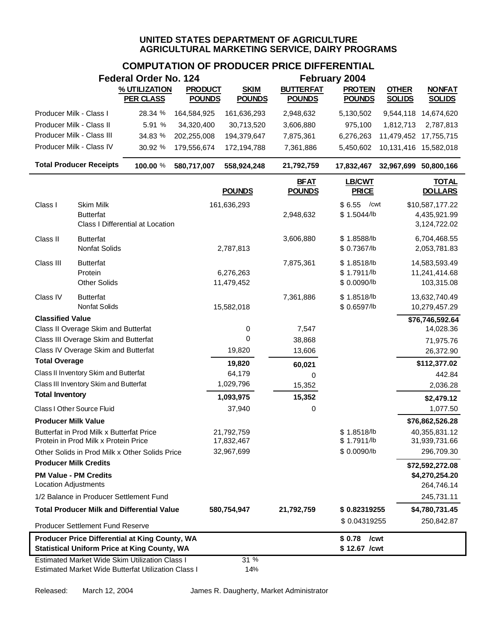# **COMPUTATION OF PRODUCER PRICE DIFFERENTIAL**

|                              |                                                                                  | <b>Federal Order No. 124</b>                                                                                 |                |                          |                              | February 2004                            |                       |                                                 |
|------------------------------|----------------------------------------------------------------------------------|--------------------------------------------------------------------------------------------------------------|----------------|--------------------------|------------------------------|------------------------------------------|-----------------------|-------------------------------------------------|
|                              |                                                                                  | % UTILIZATION                                                                                                | <b>PRODUCT</b> | <b>SKIM</b>              | <b>BUTTERFAT</b>             | <b>PROTEIN</b>                           | <b>OTHER</b>          | <b>NONFAT</b>                                   |
|                              |                                                                                  | <b>PER CLASS</b>                                                                                             | <b>POUNDS</b>  | <b>POUNDS</b>            | <b>POUNDS</b>                | <b>POUNDS</b>                            | <b>SOLIDS</b>         | <b>SOLIDS</b>                                   |
| Producer Milk - Class I      |                                                                                  | 28.34 %                                                                                                      | 164,584,925    | 161,636,293              | 2,948,632                    | 5,130,502                                |                       | 9,544,118 14,674,620                            |
| Producer Milk - Class II     |                                                                                  | 5.91 %                                                                                                       | 34,320,400     | 30,713,520               | 3,606,880                    | 975,100                                  | 1,812,713             | 2,787,813                                       |
|                              | Producer Milk - Class III                                                        | 34.83 %                                                                                                      | 202,255,008    | 194,379,647              | 7,875,361                    | 6,276,263                                | 11,479,452 17,755,715 |                                                 |
|                              | Producer Milk - Class IV                                                         | 30.92 %                                                                                                      | 179,556,674    | 172,194,788              | 7,361,886                    | 5,450,602                                | 10,131,416 15,582,018 |                                                 |
|                              | <b>Total Producer Receipts</b>                                                   | 100.00 %                                                                                                     | 580,717,007    | 558,924,248              | 21,792,759                   | 17,832,467                               | 32,967,699 50,800,166 |                                                 |
|                              |                                                                                  |                                                                                                              |                | <b>POUNDS</b>            | <b>BFAT</b><br><b>POUNDS</b> | <b>LB/CWT</b><br><b>PRICE</b>            |                       | <b>TOTAL</b><br><b>DOLLARS</b>                  |
| Class I                      | Skim Milk<br><b>Butterfat</b>                                                    | Class I Differential at Location                                                                             |                | 161,636,293              | 2,948,632                    | \$6.55<br>/cwt<br>\$1.5044/b             |                       | \$10,587,177.22<br>4,435,921.99<br>3,124,722.02 |
| Class II                     | <b>Butterfat</b><br>Nonfat Solids                                                |                                                                                                              |                | 2,787,813                | 3,606,880                    | \$1.8588/lb<br>\$ 0.7367/lb              |                       | 6,704,468.55<br>2,053,781.83                    |
| Class III                    | <b>Butterfat</b><br>Protein<br><b>Other Solids</b>                               |                                                                                                              |                | 6,276,263<br>11,479,452  | 7,875,361                    | \$1.8518/b<br>\$1.7911/b<br>\$ 0.0090/lb |                       | 14,583,593.49<br>11,241,414.68<br>103,315.08    |
| Class IV                     | <b>Butterfat</b><br><b>Nonfat Solids</b>                                         |                                                                                                              |                | 15,582,018               | 7,361,886                    | \$1.8518/b<br>\$ 0.6597/lb               |                       | 13,632,740.49<br>10,279,457.29                  |
| <b>Classified Value</b>      |                                                                                  |                                                                                                              |                |                          |                              |                                          |                       | \$76,746,592.64                                 |
|                              | Class II Overage Skim and Butterfat                                              |                                                                                                              |                | 0                        | 7,547                        |                                          |                       | 14,028.36                                       |
|                              | Class III Overage Skim and Butterfat                                             |                                                                                                              |                | 0                        | 38,868                       |                                          |                       | 71,975.76                                       |
|                              | Class IV Overage Skim and Butterfat                                              |                                                                                                              |                | 19,820                   | 13,606                       |                                          |                       | 26,372.90                                       |
| <b>Total Overage</b>         |                                                                                  |                                                                                                              |                | 19,820                   | 60,021                       |                                          |                       | \$112,377.02                                    |
|                              | Class II Inventory Skim and Butterfat                                            |                                                                                                              |                | 64,179                   | 0                            |                                          |                       | 442.84                                          |
| <b>Total Inventory</b>       | Class III Inventory Skim and Butterfat                                           |                                                                                                              |                | 1,029,796                | 15,352                       |                                          |                       | 2,036.28                                        |
|                              |                                                                                  |                                                                                                              |                | 1,093,975                | 15,352                       |                                          |                       | \$2,479.12                                      |
|                              | Class I Other Source Fluid                                                       |                                                                                                              |                | 37,940                   | 0                            |                                          |                       | 1,077.50                                        |
| <b>Producer Milk Value</b>   |                                                                                  |                                                                                                              |                |                          |                              |                                          |                       | \$76,862,526.28                                 |
|                              | Butterfat in Prod Milk x Butterfat Price<br>Protein in Prod Milk x Protein Price |                                                                                                              |                | 21,792,759<br>17,832,467 |                              | \$1.8518/lb<br>\$1.7911/b                |                       | 40,355,831.12<br>31,939,731.66                  |
|                              |                                                                                  | Other Solids in Prod Milk x Other Solids Price                                                               |                | 32,967,699               |                              | \$ 0.0090/lb                             |                       | 296,709.30                                      |
| <b>Producer Milk Credits</b> |                                                                                  |                                                                                                              |                |                          |                              |                                          |                       | \$72,592,272.08                                 |
| Location Adjustments         | <b>PM Value - PM Credits</b>                                                     |                                                                                                              |                |                          |                              |                                          |                       | \$4,270,254.20<br>264,746.14                    |
|                              | 1/2 Balance in Producer Settlement Fund                                          |                                                                                                              |                |                          |                              |                                          |                       | 245,731.11                                      |
|                              |                                                                                  | <b>Total Producer Milk and Differential Value</b>                                                            |                | 580,754,947              | 21,792,759                   | \$0.82319255                             |                       | \$4,780,731.45                                  |
|                              | <b>Producer Settlement Fund Reserve</b>                                          |                                                                                                              |                |                          |                              | \$0.04319255                             |                       | 250,842.87                                      |
|                              |                                                                                  | <b>Producer Price Differential at King County, WA</b><br><b>Statistical Uniform Price at King County, WA</b> |                |                          |                              | /cwt<br>\$ 0.78<br>\$12.67 /cwt          |                       |                                                 |
|                              |                                                                                  | <b>Estimated Market Wide Skim Utilization Class I</b><br>Estimated Market Wide Butterfat Utilization Class I |                | 31%<br>14%               |                              |                                          |                       |                                                 |

Released: March 12, 2004 James R. Daugherty, Market Administrator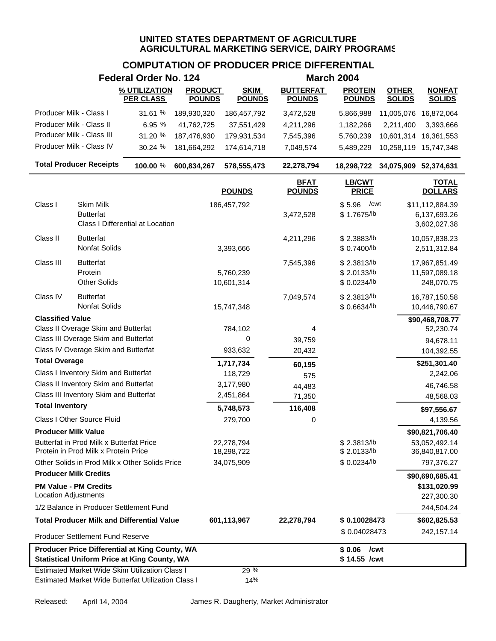## **COMPUTATION OF PRODUCER PRICE DIFFERENTIAL**

|                                                              |                                                                                  | <b>Federal Order No. 124</b>                                                                                 |                                 |                              |                                   | <b>March 2004</b>                        |                               |                                                 |
|--------------------------------------------------------------|----------------------------------------------------------------------------------|--------------------------------------------------------------------------------------------------------------|---------------------------------|------------------------------|-----------------------------------|------------------------------------------|-------------------------------|-------------------------------------------------|
|                                                              |                                                                                  | % UTILIZATION<br><b>PER CLASS</b>                                                                            | <b>PRODUCT</b><br><b>POUNDS</b> | <b>SKIM</b><br><b>POUNDS</b> | <b>BUTTERFAT</b><br><b>POUNDS</b> | <b>PROTEIN</b><br><b>POUNDS</b>          | <b>OTHER</b><br><b>SOLIDS</b> | <b>NONFAT</b><br><b>SOLIDS</b>                  |
| Producer Milk - Class I                                      |                                                                                  | 31.61 %                                                                                                      | 189,930,320                     | 186,457,792                  | 3,472,528                         | 5,866,988                                | 11,005,076                    | 16,872,064                                      |
| Producer Milk - Class II                                     |                                                                                  | 6.95 %                                                                                                       | 41,762,725                      | 37,551,429                   | 4,211,296                         | 1,182,266                                | 2,211,400                     | 3,393,666                                       |
|                                                              | Producer Milk - Class III                                                        | 31.20 %                                                                                                      | 187,476,930                     | 179,931,534                  | 7,545,396                         | 5,760,239                                | 10,601,314                    | 16,361,553                                      |
|                                                              | Producer Milk - Class IV                                                         | 30.24 %                                                                                                      | 181,664,292                     | 174,614,718                  | 7,049,574                         | 5,489,229                                | 10,258,119                    | 15,747,348                                      |
|                                                              | <b>Total Producer Receipts</b>                                                   | 100.00 %                                                                                                     | 600,834,267                     | 578,555,473                  | 22,278,794                        | 18,298,722                               | 34,075,909 52,374,631         |                                                 |
|                                                              |                                                                                  |                                                                                                              |                                 | <b>POUNDS</b>                | <b>BFAT</b><br><b>POUNDS</b>      | <b>LB/CWT</b><br><b>PRICE</b>            |                               | <b>TOTAL</b><br><b>DOLLARS</b>                  |
| Class I                                                      | Skim Milk<br><b>Butterfat</b>                                                    | Class I Differential at Location                                                                             |                                 | 186,457,792                  | 3,472,528                         | \$5.96<br>/cwt<br>\$1.7675/lb            |                               | \$11,112,884.39<br>6,137,693.26<br>3,602,027.38 |
| Class II                                                     | <b>Butterfat</b><br>Nonfat Solids                                                |                                                                                                              |                                 | 3,393,666                    | 4,211,296                         | \$2.3883/lb<br>\$ 0.7400/lb              |                               | 10,057,838.23<br>2,511,312.84                   |
| Class III                                                    | <b>Butterfat</b><br>Protein<br><b>Other Solids</b>                               |                                                                                                              |                                 | 5,760,239<br>10,601,314      | 7,545,396                         | \$2.3813/lb<br>\$2.0133/lb<br>\$0.0234/b |                               | 17,967,851.49<br>11,597,089.18<br>248,070.75    |
| Class IV                                                     | <b>Butterfat</b><br>Nonfat Solids                                                |                                                                                                              |                                 | 15,747,348                   | 7,049,574                         | \$2.3813/lb<br>\$ 0.6634/lb              |                               | 16,787,150.58<br>10,446,790.67                  |
| <b>Classified Value</b>                                      |                                                                                  |                                                                                                              |                                 |                              |                                   |                                          |                               | \$90,468,708.77                                 |
|                                                              | Class II Overage Skim and Butterfat                                              |                                                                                                              |                                 | 784,102                      | 4                                 |                                          |                               | 52,230.74                                       |
|                                                              | Class III Overage Skim and Butterfat<br>Class IV Overage Skim and Butterfat      |                                                                                                              |                                 | 0                            | 39,759                            |                                          |                               | 94,678.11                                       |
| <b>Total Overage</b>                                         |                                                                                  |                                                                                                              |                                 | 933,632                      | 20,432                            |                                          |                               | 104,392.55                                      |
|                                                              | Class I Inventory Skim and Butterfat                                             |                                                                                                              |                                 | 1,717,734<br>118,729         | 60,195                            |                                          |                               | \$251,301.40<br>2,242.06                        |
|                                                              | Class II Inventory Skim and Butterfat                                            |                                                                                                              |                                 | 3,177,980                    | 575<br>44,483                     |                                          |                               | 46,746.58                                       |
|                                                              | Class III Inventory Skim and Butterfat                                           |                                                                                                              |                                 | 2,451,864                    | 71,350                            |                                          |                               | 48,568.03                                       |
| <b>Total Inventory</b>                                       |                                                                                  |                                                                                                              |                                 | 5,748,573                    | 116,408                           |                                          |                               | \$97,556.67                                     |
|                                                              | Class I Other Source Fluid                                                       |                                                                                                              |                                 | 279,700                      | 0                                 |                                          |                               | 4,139.56                                        |
| <b>Producer Milk Value</b>                                   |                                                                                  |                                                                                                              |                                 |                              |                                   |                                          |                               | \$90,821,706.40                                 |
|                                                              | Butterfat in Prod Milk x Butterfat Price<br>Protein in Prod Milk x Protein Price |                                                                                                              |                                 | 22,278,794<br>18,298,722     |                                   | \$2.3813/b<br>\$2.0133/lb                |                               | 53,052,492.14<br>36,840,817.00                  |
|                                                              |                                                                                  | Other Solids in Prod Milk x Other Solids Price                                                               |                                 | 34,075,909                   |                                   | \$ 0.0234/lb                             |                               | 797,376.27                                      |
| <b>Producer Milk Credits</b><br><b>PM Value - PM Credits</b> |                                                                                  |                                                                                                              |                                 |                              |                                   |                                          |                               | \$90,690,685.41<br>\$131,020.99                 |
| <b>Location Adjustments</b>                                  |                                                                                  |                                                                                                              |                                 |                              |                                   |                                          |                               | 227,300.30                                      |
|                                                              |                                                                                  | 1/2 Balance in Producer Settlement Fund                                                                      |                                 |                              |                                   |                                          |                               | 244,504.24                                      |
|                                                              |                                                                                  | <b>Total Producer Milk and Differential Value</b>                                                            |                                 | 601,113,967                  | 22,278,794                        | \$0.10028473                             |                               | \$602,825.53                                    |
|                                                              | <b>Producer Settlement Fund Reserve</b>                                          |                                                                                                              |                                 |                              |                                   | \$0.04028473                             |                               | 242,157.14                                      |
|                                                              |                                                                                  | Producer Price Differential at King County, WA<br><b>Statistical Uniform Price at King County, WA</b>        |                                 |                              |                                   | \$0.06<br>/cwt<br>\$14.55 /cwt           |                               |                                                 |
|                                                              |                                                                                  | <b>Estimated Market Wide Skim Utilization Class I</b><br>Estimated Market Wide Butterfat Utilization Class I |                                 | 29 %<br>14%                  |                                   |                                          |                               |                                                 |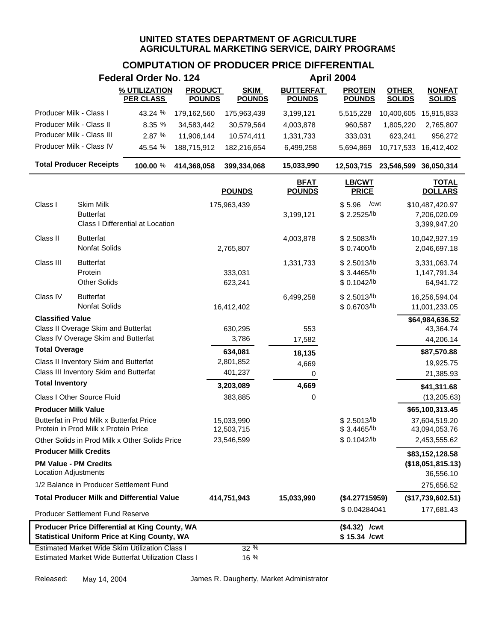## **COMPUTATION OF PRODUCER PRICE DIFFERENTIAL**

|                              |                                                                                  | <b>Federal Order No. 124</b>                          |                                 |                              |                                   | <b>April 2004</b>               |                               |                                |
|------------------------------|----------------------------------------------------------------------------------|-------------------------------------------------------|---------------------------------|------------------------------|-----------------------------------|---------------------------------|-------------------------------|--------------------------------|
|                              |                                                                                  | % UTILIZATION<br><b>PER CLASS</b>                     | <b>PRODUCT</b><br><b>POUNDS</b> | <b>SKIM</b><br><b>POUNDS</b> | <b>BUTTERFAT</b><br><b>POUNDS</b> | <b>PROTEIN</b><br><b>POUNDS</b> | <b>OTHER</b><br><b>SOLIDS</b> | <b>NONFAT</b><br><b>SOLIDS</b> |
| Producer Milk - Class I      |                                                                                  | 43.24 %                                               | 179,162,560                     | 175,963,439                  | 3,199,121                         | 5,515,228                       | 10,400,605                    | 15,915,833                     |
| Producer Milk - Class II     |                                                                                  | 8.35 %                                                | 34,583,442                      | 30,579,564                   | 4,003,878                         | 960,587                         | 1,805,220                     | 2,765,807                      |
|                              | Producer Milk - Class III                                                        | 2.87 %                                                | 11,906,144                      | 10,574,411                   | 1,331,733                         | 333,031                         | 623,241                       | 956,272                        |
|                              | Producer Milk - Class IV                                                         | 45.54 %                                               | 188,715,912                     | 182,216,654                  | 6,499,258                         | 5,694,869                       | 10,717,533                    | 16,412,402                     |
|                              | <b>Total Producer Receipts</b>                                                   | 100.00 %                                              | 414,368,058                     | 399,334,068                  | 15,033,990                        | 12,503,715 23,546,599           |                               | 36,050,314                     |
|                              |                                                                                  |                                                       |                                 | <b>POUNDS</b>                | <b>BFAT</b><br><b>POUNDS</b>      | <b>LB/CWT</b><br><b>PRICE</b>   |                               | <b>TOTAL</b><br><b>DOLLARS</b> |
| Class I                      | Skim Milk                                                                        |                                                       |                                 | 175,963,439                  |                                   | /cwt<br>\$5.96                  |                               | \$10,487,420.97                |
|                              | <b>Butterfat</b>                                                                 |                                                       |                                 |                              | 3,199,121                         | \$2.2525/lb                     |                               | 7,206,020.09                   |
|                              |                                                                                  | Class I Differential at Location                      |                                 |                              |                                   |                                 |                               | 3,399,947.20                   |
| Class II                     | <b>Butterfat</b>                                                                 |                                                       |                                 |                              | 4,003,878                         | \$2.5083/lb                     |                               | 10,042,927.19                  |
|                              | <b>Nonfat Solids</b>                                                             |                                                       |                                 | 2,765,807                    |                                   | \$ 0.7400/lb                    |                               | 2,046,697.18                   |
| Class III                    | <b>Butterfat</b>                                                                 |                                                       |                                 |                              | 1,331,733                         | \$2.5013/lb                     |                               | 3,331,063.74                   |
|                              | Protein                                                                          |                                                       |                                 | 333,031                      |                                   | \$3.4465/lb                     |                               | 1,147,791.34                   |
|                              | <b>Other Solids</b>                                                              |                                                       |                                 | 623,241                      |                                   | \$ 0.1042/lb                    |                               | 64,941.72                      |
| Class IV                     | <b>Butterfat</b>                                                                 |                                                       |                                 |                              | 6,499,258                         | \$2.5013/lb                     |                               | 16,256,594.04                  |
|                              | <b>Nonfat Solids</b>                                                             |                                                       |                                 | 16,412,402                   |                                   | \$ 0.6703/lb                    |                               | 11,001,233.05                  |
| <b>Classified Value</b>      |                                                                                  |                                                       |                                 |                              |                                   |                                 |                               | \$64,984,636.52                |
|                              | Class II Overage Skim and Butterfat<br>Class IV Overage Skim and Butterfat       |                                                       |                                 | 630,295<br>3,786             | 553                               |                                 |                               | 43,364.74                      |
| <b>Total Overage</b>         |                                                                                  |                                                       |                                 |                              | 17,582                            |                                 |                               | 44,206.14                      |
|                              | Class II Inventory Skim and Butterfat                                            |                                                       |                                 | 634,081<br>2,801,852         | 18,135                            |                                 |                               | \$87,570.88                    |
|                              | Class III Inventory Skim and Butterfat                                           |                                                       |                                 | 401,237                      | 4,669<br>0                        |                                 |                               | 19,925.75<br>21,385.93         |
| <b>Total Inventory</b>       |                                                                                  |                                                       |                                 | 3,203,089                    | 4,669                             |                                 |                               | \$41,311.68                    |
|                              | <b>Class I Other Source Fluid</b>                                                |                                                       |                                 | 383,885                      | 0                                 |                                 |                               | (13, 205.63)                   |
| <b>Producer Milk Value</b>   |                                                                                  |                                                       |                                 |                              |                                   |                                 |                               | \$65,100,313.45                |
|                              | Butterfat in Prod Milk x Butterfat Price<br>Protein in Prod Milk x Protein Price |                                                       |                                 | 15,033,990<br>12,503,715     |                                   | \$2.5013/b<br>\$3.4465/b        |                               | 37,604,519.20<br>43,094,053.76 |
|                              |                                                                                  | Other Solids in Prod Milk x Other Solids Price        |                                 | 23,546,599                   |                                   | \$0.1042/b                      |                               | 2,453,555.62                   |
| <b>Producer Milk Credits</b> |                                                                                  |                                                       |                                 |                              |                                   |                                 |                               | \$83,152,128.58                |
| Location Adjustments         | <b>PM Value - PM Credits</b>                                                     |                                                       |                                 |                              |                                   |                                 |                               | (\$18,051,815.13)<br>36,556.10 |
|                              | 1/2 Balance in Producer Settlement Fund                                          |                                                       |                                 |                              |                                   |                                 |                               | 275,656.52                     |
|                              |                                                                                  | <b>Total Producer Milk and Differential Value</b>     |                                 | 414,751,943                  | 15,033,990                        | (\$4.27715959)                  |                               | (\$17,739,602.51)              |
|                              | Producer Settlement Fund Reserve                                                 |                                                       |                                 |                              |                                   | \$0.04284041                    |                               | 177,681.43                     |
|                              |                                                                                  | Producer Price Differential at King County, WA        |                                 |                              |                                   | $($4.32)$ /cwt                  |                               |                                |
|                              |                                                                                  | <b>Statistical Uniform Price at King County, WA</b>   |                                 |                              |                                   | \$15.34 /cwt                    |                               |                                |
|                              |                                                                                  | <b>Estimated Market Wide Skim Utilization Class I</b> |                                 | 32 %                         |                                   |                                 |                               |                                |
|                              |                                                                                  | Estimated Market Wide Butterfat Utilization Class I   |                                 | 16 %                         |                                   |                                 |                               |                                |

Released: May 14, 2004 James R. Daugherty, Market Administrator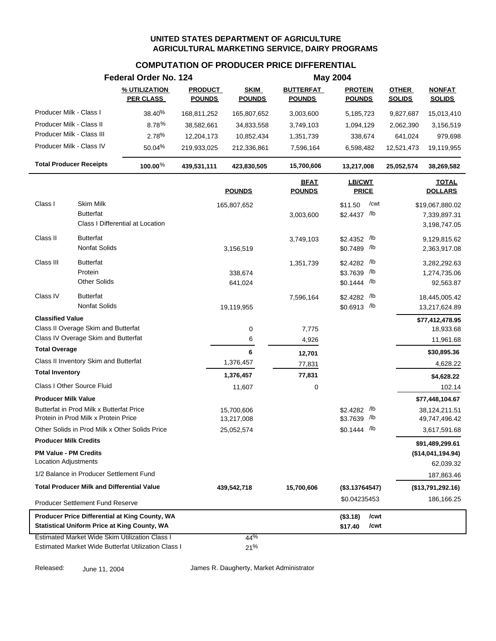#### **COMPUTATION OF PRODUCER PRICE DIFFERENTIAL**

|                                                       | Federal Order No. 124             |                                 |                              |                                   | <b>May 2004</b>                 |                               |                                |
|-------------------------------------------------------|-----------------------------------|---------------------------------|------------------------------|-----------------------------------|---------------------------------|-------------------------------|--------------------------------|
|                                                       | % UTILIZATION<br><b>PER CLASS</b> | <b>PRODUCT</b><br><b>POUNDS</b> | <b>SKIM</b><br><b>POUNDS</b> | <b>BUTTERFAT</b><br><b>POUNDS</b> | <b>PROTEIN</b><br><b>POUNDS</b> | <b>OTHER</b><br><b>SOLIDS</b> | <b>NONFAT</b><br><b>SOLIDS</b> |
| Producer Milk - Class I                               | 38.40%                            | 168,811,252                     | 165,807,652                  | 3,003,600                         | 5,185,723                       | 9,827,687                     | 15,013,410                     |
| Producer Milk - Class II                              | 8.78%                             | 38,582,661                      | 34,833,558                   | 3,749,103                         | 1,094,129                       | 2,062,390                     | 3,156,519                      |
| Producer Milk - Class III                             | 2.78%                             | 12,204,173                      | 10,852,434                   | 1,351,739                         | 338,674                         | 641,024                       | 979,698                        |
| Producer Milk - Class IV                              | 50.04%                            | 219,933,025                     | 212,336,861                  | 7,596,164                         | 6,598,482                       | 12,521,473                    | 19,119,955                     |
| <b>Total Producer Receipts</b>                        | 100.00 $%$                        | 439,531,111                     | 423,830,505                  | 15,700,606                        | 13,217,008                      | 25,052,574                    | 38,269,582                     |
|                                                       |                                   |                                 | <b>POUNDS</b>                | <b>BFAT</b><br><b>POUNDS</b>      | <b>LB/CWT</b><br><b>PRICE</b>   |                               | <b>TOTAL</b><br><b>DOLLARS</b> |
| Class I<br>Skim Milk                                  |                                   |                                 | 165,807,652                  |                                   | /cwt<br>\$11.50                 |                               | \$19,067,880.02                |
| <b>Butterfat</b>                                      |                                   |                                 |                              | 3,003,600                         | \$2.4437 /lb                    |                               | 7,339,897.31                   |
| Class I Differential at Location                      |                                   |                                 |                              |                                   |                                 |                               | 3,198,747.05                   |
| Class II<br><b>Butterfat</b>                          |                                   |                                 |                              | 3,749,103                         | \$2.4352 /lb                    |                               | 9,129,815.62                   |
| <b>Nonfat Solids</b>                                  |                                   |                                 | 3,156,519                    |                                   | \$0.7489 /lb                    |                               | 2,363,917.08                   |
| Class III<br><b>Butterfat</b>                         |                                   |                                 |                              | 1,351,739                         | \$2.4282 /lb                    |                               | 3,282,292.63                   |
| Protein                                               |                                   |                                 | 338,674                      |                                   | \$3.7639 /lb                    |                               | 1,274,735.06                   |
| <b>Other Solids</b>                                   |                                   |                                 | 641,024                      |                                   | $$0.1444$ /lb                   |                               | 92,563.87                      |
| <b>Butterfat</b><br>Class IV                          |                                   |                                 |                              | 7,596,164                         | /lb<br>\$2.4282                 |                               | 18,445,005.42                  |
| <b>Nonfat Solids</b>                                  |                                   |                                 | 19,119,955                   |                                   | \$0.6913 /lb                    |                               | 13,217,624.89                  |
| <b>Classified Value</b>                               |                                   |                                 |                              |                                   |                                 |                               | \$77,412,478.95                |
| Class II Overage Skim and Butterfat                   |                                   |                                 | 0                            | 7,775                             |                                 |                               | 18,933.68                      |
| Class IV Overage Skim and Butterfat                   |                                   |                                 | 6                            | 4,926                             |                                 |                               | 11,961.68                      |
| <b>Total Overage</b>                                  |                                   |                                 | 6                            | 12,701                            |                                 |                               | \$30,895.36                    |
| Class II Inventory Skim and Butterfat                 |                                   |                                 | 1,376,457                    | 77,831                            |                                 |                               | 4,628.22                       |
| <b>Total Inventory</b>                                |                                   |                                 | 1,376,457                    | 77,831                            |                                 |                               | \$4,628.22                     |
| Class I Other Source Fluid                            |                                   |                                 | 11,607                       | 0                                 |                                 |                               | 102.14                         |
| <b>Producer Milk Value</b>                            |                                   |                                 |                              |                                   |                                 |                               | \$77,448,104.67                |
| Butterfat in Prod Milk x Butterfat Price              |                                   |                                 | 15,700,606                   |                                   | \$2.4282 /lb                    |                               | 38,124,211.51                  |
| Protein in Prod Milk x Protein Price                  |                                   |                                 | 13,217,008                   |                                   | /lb<br>\$3.7639                 |                               | 49,747,496.42                  |
| Other Solids in Prod Milk x Other Solids Price        |                                   |                                 | 25,052,574                   |                                   | $$0.1444$ /lb                   |                               | 3,617,591.68                   |
| <b>Producer Milk Credits</b>                          |                                   |                                 |                              |                                   |                                 |                               | \$91,489,299.61                |
| <b>PM Value - PM Credits</b>                          |                                   |                                 |                              |                                   |                                 |                               | (\$14,041,194.94)              |
| <b>Location Adjustments</b>                           |                                   |                                 |                              |                                   |                                 |                               | 62,039.32                      |
| 1/2 Balance in Producer Settlement Fund               |                                   |                                 |                              |                                   |                                 |                               | 187,863.46                     |
| <b>Total Producer Milk and Differential Value</b>     |                                   |                                 | 439,542,718                  | 15,700,606                        | (\$3.13764547)                  |                               | (\$13,791,292.16)              |
| <b>Producer Settlement Fund Reserve</b>               |                                   |                                 |                              |                                   | \$0.04235453                    |                               | 186,166.25                     |
| Producer Price Differential at King County, WA        |                                   |                                 |                              |                                   | /cwt<br>(\$3.18)                |                               |                                |
| <b>Statistical Uniform Price at King County, WA</b>   |                                   |                                 |                              |                                   | \$17.40<br>/cwt                 |                               |                                |
| <b>Estimated Market Wide Skim Utilization Class I</b> |                                   |                                 | 44%                          |                                   |                                 |                               |                                |
| Estimated Market Wide Butterfat Utilization Class I   |                                   |                                 | 21%                          |                                   |                                 |                               |                                |

Released: June 11, 2004 James R. Daugherty, Market Administrator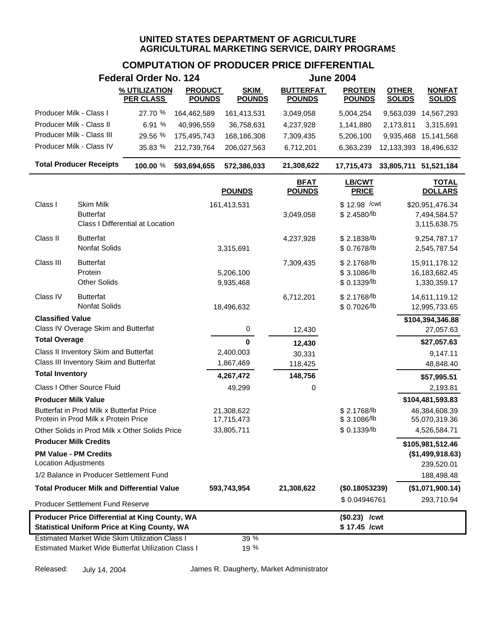# **COMPUTATION OF PRODUCER PRICE DIFFERENTIAL**

|                                                             |                                                                                                              | <b>Federal Order No. 124</b>      |                                 |                              |                                   | <b>June 2004</b>                           |                                                                 |
|-------------------------------------------------------------|--------------------------------------------------------------------------------------------------------------|-----------------------------------|---------------------------------|------------------------------|-----------------------------------|--------------------------------------------|-----------------------------------------------------------------|
|                                                             |                                                                                                              | % UTILIZATION<br><b>PER CLASS</b> | <b>PRODUCT</b><br><b>POUNDS</b> | <b>SKIM</b><br><b>POUNDS</b> | <b>BUTTERFAT</b><br><b>POUNDS</b> | <b>PROTEIN</b><br><b>POUNDS</b>            | <b>NONFAT</b><br><b>OTHER</b><br><b>SOLIDS</b><br><b>SOLIDS</b> |
| Producer Milk - Class I                                     |                                                                                                              | 27.70 %                           | 164,462,589                     | 161,413,531                  | 3,049,058                         | 5,004,254                                  | 9,563,039<br>14,567,293                                         |
| Producer Milk - Class II                                    |                                                                                                              | 6.91 %                            | 40,996,559                      | 36,758,631                   | 4,237,928                         | 1,141,880                                  | 2,173,811<br>3,315,691                                          |
| Producer Milk - Class III                                   |                                                                                                              | 29.56 %                           | 175,495,743                     | 168,186,308                  | 7,309,435                         | 5,206,100                                  | 9,935,468 15,141,568                                            |
|                                                             | Producer Milk - Class IV                                                                                     | 35.83 %                           | 212,739,764                     | 206,027,563                  | 6,712,201                         | 6,363,239                                  | 12,133,393 18,496,632                                           |
|                                                             | <b>Total Producer Receipts</b>                                                                               | 100.00 %                          | 593,694,655                     | 572,386,033                  | 21,308,622                        | 17,715,473                                 | 33,805,711 51,521,184                                           |
|                                                             |                                                                                                              |                                   |                                 | <b>POUNDS</b>                | <b>BFAT</b><br><b>POUNDS</b>      | LB/CWT<br><b>PRICE</b>                     | <b>TOTAL</b><br><b>DOLLARS</b>                                  |
| Class I                                                     | Skim Milk<br><b>Butterfat</b><br>Class I Differential at Location                                            |                                   |                                 | 161,413,531                  | 3,049,058                         | $$12.98$ / cwt<br>\$2.4580/lb              | \$20,951,476.34<br>7,494,584.57<br>3,115,638.75                 |
| Class II                                                    | <b>Butterfat</b><br>Nonfat Solids                                                                            |                                   |                                 | 3,315,691                    | 4,237,928                         | \$2.1838/b<br>\$ 0.7678/lb                 | 9,254,787.17<br>2,545,787.54                                    |
| Class III                                                   | <b>Butterfat</b><br>Protein<br><b>Other Solids</b>                                                           |                                   |                                 | 5,206,100<br>9,935,468       | 7,309,435                         | \$2.1768/lb<br>\$3.1086/lb<br>\$ 0.1339/lb | 15,911,178.12<br>16,183,682.45<br>1,330,359.17                  |
| Class IV                                                    | <b>Butterfat</b><br>Nonfat Solids                                                                            |                                   |                                 | 18,496,632                   | 6,712,201                         | \$2.1768/lb<br>\$ 0.7026/lb                | 14,611,119.12<br>12,995,733.65                                  |
| <b>Classified Value</b>                                     | Class IV Overage Skim and Butterfat                                                                          |                                   |                                 | 0                            | 12,430                            |                                            | \$104,394,346.88<br>27,057.63                                   |
| <b>Total Overage</b>                                        |                                                                                                              |                                   |                                 | $\mathbf{0}$                 | 12,430                            |                                            | \$27,057.63                                                     |
|                                                             | Class II Inventory Skim and Butterfat                                                                        |                                   |                                 | 2,400,003                    | 30,331                            |                                            | 9,147.11                                                        |
|                                                             | Class III Inventory Skim and Butterfat                                                                       |                                   |                                 | 1,867,469                    | 118,425                           |                                            | 48,848.40                                                       |
| <b>Total Inventory</b>                                      |                                                                                                              |                                   |                                 | 4,267,472                    | 148,756                           |                                            | \$57,995.51                                                     |
|                                                             | Class I Other Source Fluid                                                                                   |                                   |                                 | 49,299                       | 0                                 |                                            | 2,193.81                                                        |
| <b>Producer Milk Value</b>                                  |                                                                                                              |                                   |                                 |                              |                                   |                                            | \$104,481,593.83                                                |
|                                                             | Butterfat in Prod Milk x Butterfat Price<br>Protein in Prod Milk x Protein Price                             |                                   |                                 | 21,308,622<br>17,715,473     |                                   | \$2.1768/lb<br>\$3.1086/lb                 | 46,384,608.39<br>55,070,319.36                                  |
|                                                             | Other Solids in Prod Milk x Other Solids Price                                                               |                                   |                                 | 33,805,711                   |                                   | \$0.1339/b                                 | 4,526,584.71                                                    |
| <b>Producer Milk Credits</b>                                |                                                                                                              |                                   |                                 |                              |                                   |                                            | \$105,981,512.46                                                |
| <b>PM Value - PM Credits</b><br><b>Location Adjustments</b> |                                                                                                              |                                   |                                 |                              |                                   |                                            | (\$1,499,918.63)<br>239,520.01                                  |
|                                                             | 1/2 Balance in Producer Settlement Fund                                                                      |                                   |                                 |                              |                                   |                                            | 188,498.48                                                      |
|                                                             | <b>Total Producer Milk and Differential Value</b>                                                            |                                   |                                 | 593,743,954                  | 21,308,622                        | (\$0.18053239)                             | (\$1,071,900.14)                                                |
|                                                             | Producer Settlement Fund Reserve                                                                             |                                   |                                 |                              |                                   | \$0.04946761                               | 293,710.94                                                      |
|                                                             | Producer Price Differential at King County, WA<br><b>Statistical Uniform Price at King County, WA</b>        |                                   |                                 |                              |                                   | $($0.23)$ /cwt<br>\$17.45 /cwt             |                                                                 |
|                                                             | <b>Estimated Market Wide Skim Utilization Class I</b><br>Estimated Market Wide Butterfat Utilization Class I |                                   |                                 | 39 %<br>19 %                 |                                   |                                            |                                                                 |

Released: July 14, 2004 James R. Daugherty, Market Administrator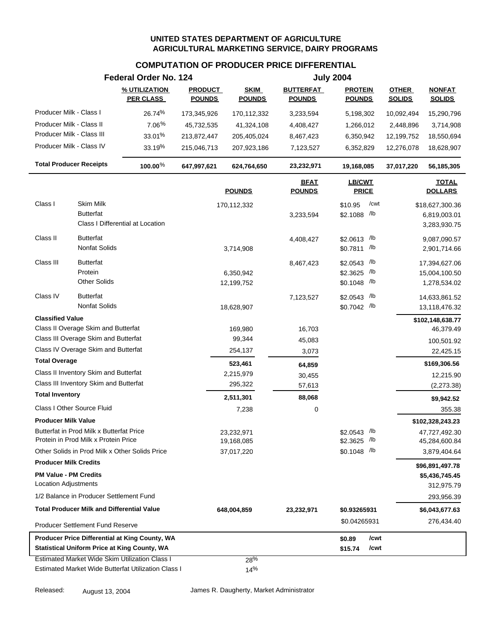#### **COMPUTATION OF PRODUCER PRICE DIFFERENTIAL**

|                                                       | Federal Order No. 124 |                |               |                              | <b>July 2004</b>              |               |                                |
|-------------------------------------------------------|-----------------------|----------------|---------------|------------------------------|-------------------------------|---------------|--------------------------------|
|                                                       | % UTILIZATION         | <b>PRODUCT</b> | <b>SKIM</b>   | <b>BUTTERFAT</b>             | <b>PROTEIN</b>                | <b>OTHER</b>  | <b>NONFAT</b>                  |
|                                                       | <b>PER CLASS</b>      | <b>POUNDS</b>  | <b>POUNDS</b> | <b>POUNDS</b>                | <b>POUNDS</b>                 | <b>SOLIDS</b> | <b>SOLIDS</b>                  |
| Producer Milk - Class I                               | 26.74%                | 173,345,926    | 170,112,332   | 3,233,594                    | 5,198,302                     | 10,092,494    | 15,290,796                     |
| Producer Milk - Class II                              | $7.06\%$              | 45,732,535     | 41,324,108    | 4,408,427                    | 1,266,012                     | 2,448,896     | 3,714,908                      |
| Producer Milk - Class III                             | 33.01%                | 213,872,447    | 205,405,024   | 8,467,423                    | 6,350,942                     | 12,199,752    | 18,550,694                     |
| Producer Milk - Class IV                              | 33.19%                | 215,046,713    | 207,923,186   | 7,123,527                    | 6,352,829                     | 12,276,078    | 18,628,907                     |
| <b>Total Producer Receipts</b>                        | 100.00%               | 647,997,621    | 624,764,650   | 23,232,971                   | 19,168,085                    | 37,017,220    | 56,185,305                     |
|                                                       |                       |                | <b>POUNDS</b> | <b>BFAT</b><br><b>POUNDS</b> | <b>LB/CWT</b><br><b>PRICE</b> |               | <b>TOTAL</b><br><b>DOLLARS</b> |
| Class I<br>Skim Milk                                  |                       |                | 170,112,332   |                              | /cwt<br>\$10.95               |               | \$18,627,300.36                |
| <b>Butterfat</b>                                      |                       |                |               | 3,233,594                    | \$2.1088 /lb                  |               | 6,819,003.01                   |
| Class I Differential at Location                      |                       |                |               |                              |                               |               | 3,283,930.75                   |
| Class II<br><b>Butterfat</b>                          |                       |                |               | 4,408,427                    | \$2.0613 /lb                  |               | 9,087,090.57                   |
| Nonfat Solids                                         |                       |                | 3,714,908     |                              | \$0.7811 /lb                  |               | 2,901,714.66                   |
| Class III<br><b>Butterfat</b>                         |                       |                |               | 8,467,423                    | /lb<br>\$2.0543               |               | 17,394,627.06                  |
| Protein                                               |                       |                | 6,350,942     |                              | /lb<br>\$2.3625               |               | 15,004,100.50                  |
| <b>Other Solids</b>                                   |                       |                | 12,199,752    |                              | $$0.1048$ /lb                 |               | 1,278,534.02                   |
| <b>Butterfat</b><br>Class IV                          |                       |                |               |                              | /lb<br>\$2.0543               |               |                                |
| <b>Nonfat Solids</b>                                  |                       |                | 18,628,907    | 7,123,527                    | \$0.7042 /lb                  |               | 14,633,861.52<br>13,118,476.32 |
| <b>Classified Value</b>                               |                       |                |               |                              |                               |               | \$102,148,638.77               |
| Class II Overage Skim and Butterfat                   |                       |                | 169,980       | 16,703                       |                               |               | 46,379.49                      |
| Class III Overage Skim and Butterfat                  |                       |                | 99,344        | 45,083                       |                               |               | 100,501.92                     |
| Class IV Overage Skim and Butterfat                   |                       |                | 254,137       | 3,073                        |                               |               | 22,425.15                      |
| <b>Total Overage</b>                                  |                       |                | 523,461       | 64,859                       |                               |               | \$169,306.56                   |
| Class II Inventory Skim and Butterfat                 |                       |                | 2,215,979     | 30,455                       |                               |               | 12,215.90                      |
| Class III Inventory Skim and Butterfat                |                       |                | 295,322       | 57,613                       |                               |               | (2,273.38)                     |
| <b>Total Inventory</b>                                |                       |                | 2,511,301     | 88,068                       |                               |               | \$9,942.52                     |
| Class I Other Source Fluid                            |                       |                | 7,238         | 0                            |                               |               | 355.38                         |
| <b>Producer Milk Value</b>                            |                       |                |               |                              |                               |               | \$102,328,243.23               |
| Butterfat in Prod Milk x Butterfat Price              |                       |                | 23,232,971    |                              | \$2.0543 /lb                  |               | 47,727,492.30                  |
| Protein in Prod Milk x Protein Price                  |                       |                | 19,168,085    |                              | \$2.3625 /lb                  |               | 45,284,600.84                  |
| Other Solids in Prod Milk x Other Solids Price        |                       |                | 37,017,220    |                              | $$0.1048$ /lb                 |               | 3,879,404.64                   |
| <b>Producer Milk Credits</b>                          |                       |                |               |                              |                               |               | \$96,891,497.78                |
| <b>PM Value - PM Credits</b>                          |                       |                |               |                              |                               |               | \$5,436,745.45                 |
| <b>Location Adjustments</b>                           |                       |                |               |                              |                               |               | 312,975.79                     |
| 1/2 Balance in Producer Settlement Fund               |                       |                |               |                              |                               |               | 293,956.39                     |
| <b>Total Producer Milk and Differential Value</b>     |                       |                | 648,004,859   | 23,232,971                   | \$0.93265931                  |               | \$6,043,677.63                 |
| <b>Producer Settlement Fund Reserve</b>               |                       |                |               |                              | \$0.04265931                  |               | 276,434.40                     |
| Producer Price Differential at King County, WA        |                       |                |               |                              | /cwt<br>\$0.89                |               |                                |
| <b>Statistical Uniform Price at King County, WA</b>   |                       |                |               |                              | \$15.74<br>/cwt               |               |                                |
| <b>Estimated Market Wide Skim Utilization Class I</b> |                       |                | 28%           |                              |                               |               |                                |
| Estimated Market Wide Butterfat Utilization Class I   |                       |                | 14%           |                              |                               |               |                                |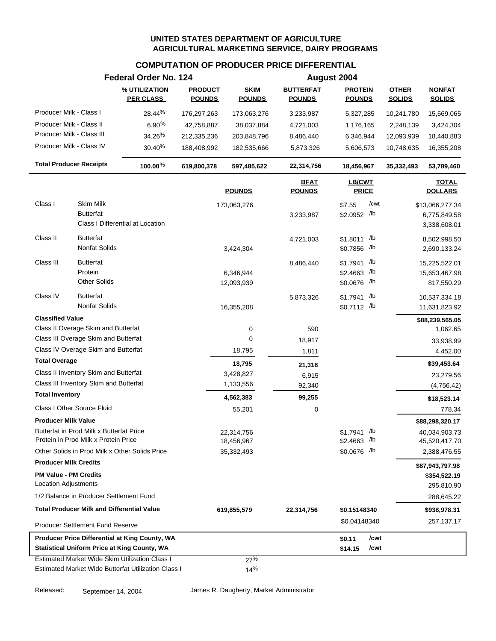#### **COMPUTATION OF PRODUCER PRICE DIFFERENTIAL**

|                                                      |                                                   | Federal Order No. 124                                                                                 |                                 |                              |                                   | August 2004                     |                               |                                |
|------------------------------------------------------|---------------------------------------------------|-------------------------------------------------------------------------------------------------------|---------------------------------|------------------------------|-----------------------------------|---------------------------------|-------------------------------|--------------------------------|
|                                                      |                                                   | % UTILIZATION<br><b>PER CLASS</b>                                                                     | <b>PRODUCT</b><br><b>POUNDS</b> | <b>SKIM</b><br><b>POUNDS</b> | <b>BUTTERFAT</b><br><b>POUNDS</b> | <b>PROTEIN</b><br><b>POUNDS</b> | <b>OTHER</b><br><b>SOLIDS</b> | <b>NONFAT</b><br><b>SOLIDS</b> |
| Producer Milk - Class I                              |                                                   | 28.44%                                                                                                | 176,297,263                     | 173,063,276                  | 3,233,987                         | 5,327,285                       | 10,241,780                    | 15,569,065                     |
| Producer Milk - Class II                             |                                                   | $6.90\%$                                                                                              | 42,758,887                      | 38,037,884                   | 4,721,003                         | 1,176,165                       | 2,248,139                     | 3,424,304                      |
| Producer Milk - Class III                            |                                                   | 34.26%                                                                                                | 212,335,236                     | 203,848,796                  | 8,486,440                         | 6,346,944                       | 12,093,939                    | 18,440,883                     |
| Producer Milk - Class IV                             |                                                   | 30.40%                                                                                                | 188,408,992                     | 182,535,666                  | 5,873,326                         | 5,606,573                       | 10,748,635                    | 16,355,208                     |
|                                                      | <b>Total Producer Receipts</b>                    | 100.00%                                                                                               | 619,800,378                     | 597,485,622                  | 22,314,756                        | 18,456,967                      | 35,332,493                    | 53,789,460                     |
|                                                      |                                                   |                                                                                                       |                                 | <b>POUNDS</b>                | <b>BFAT</b><br><b>POUNDS</b>      | LB/CWT<br><b>PRICE</b>          |                               | <b>TOTAL</b><br><b>DOLLARS</b> |
| Class I                                              | <b>Skim Milk</b>                                  |                                                                                                       |                                 | 173,063,276                  |                                   | /cwt<br>\$7.55                  |                               | \$13,066,277.34                |
|                                                      | <b>Butterfat</b>                                  |                                                                                                       |                                 |                              | 3,233,987                         | \$2.0952 /lb                    |                               | 6,775,849.58                   |
|                                                      |                                                   | Class I Differential at Location                                                                      |                                 |                              |                                   |                                 |                               | 3,338,608.01                   |
| Class II                                             | <b>Butterfat</b>                                  |                                                                                                       |                                 |                              | 4,721,003                         | /lb<br>\$1.8011                 |                               | 8,502,998.50                   |
|                                                      | Nonfat Solids                                     |                                                                                                       |                                 | 3,424,304                    |                                   | \$0.7856 /lb                    |                               | 2,690,133.24                   |
| Class III                                            | <b>Butterfat</b>                                  |                                                                                                       |                                 |                              | 8,486,440                         | /lb<br>\$1.7941                 |                               | 15,225,522.01                  |
|                                                      | Protein                                           |                                                                                                       |                                 | 6,346,944                    |                                   | /lb<br>\$2.4663                 |                               | 15,653,467.98                  |
|                                                      | <b>Other Solids</b>                               |                                                                                                       |                                 | 12,093,939                   |                                   | \$0.0676 /lb                    |                               | 817,550.29                     |
| Class IV                                             | <b>Butterfat</b>                                  |                                                                                                       |                                 |                              | 5,873,326                         | /lb<br>\$1.7941                 |                               | 10,537,334.18                  |
|                                                      | <b>Nonfat Solids</b>                              |                                                                                                       |                                 | 16,355,208                   |                                   | \$0.7112 /lb                    |                               | 11,631,823.92                  |
| <b>Classified Value</b>                              |                                                   |                                                                                                       |                                 |                              |                                   |                                 |                               | \$88,239,565.05                |
|                                                      | Class II Overage Skim and Butterfat               |                                                                                                       |                                 | 0                            | 590                               |                                 |                               | 1,062.65                       |
|                                                      | Class III Overage Skim and Butterfat              |                                                                                                       |                                 | 0                            | 18,917                            |                                 |                               | 33,938.99                      |
|                                                      | Class IV Overage Skim and Butterfat               |                                                                                                       |                                 | 18,795                       | 1,811                             |                                 |                               | 4,452.00                       |
| <b>Total Overage</b>                                 |                                                   |                                                                                                       |                                 | 18,795                       | 21,318                            |                                 |                               | \$39,453.64                    |
|                                                      | Class II Inventory Skim and Butterfat             |                                                                                                       |                                 | 3,428,827                    | 6,915                             |                                 |                               | 23,279.56                      |
|                                                      | Class III Inventory Skim and Butterfat            |                                                                                                       |                                 | 1,133,556                    | 92,340                            |                                 |                               | (4,756.42)                     |
| <b>Total Inventory</b>                               |                                                   |                                                                                                       |                                 | 4,562,383                    | 99,255                            |                                 |                               | \$18,523.14                    |
|                                                      | Class I Other Source Fluid                        |                                                                                                       |                                 | 55,201                       | 0                                 |                                 |                               | 778.34                         |
| <b>Producer Milk Value</b>                           |                                                   |                                                                                                       |                                 |                              |                                   |                                 |                               | \$88,298,320.17                |
|                                                      | Butterfat in Prod Milk x Butterfat Price          |                                                                                                       |                                 | 22,314,756                   |                                   | /lb<br>\$1.7941                 |                               | 40,034,903.73                  |
|                                                      | Protein in Prod Milk x Protein Price              |                                                                                                       |                                 | 18,456,967                   |                                   | $$2.4663$ /lb                   |                               | 45,520,417.70                  |
|                                                      | Other Solids in Prod Milk x Other Solids Price    |                                                                                                       |                                 | 35,332,493                   |                                   | \$0.0676 /lb                    |                               | 2,388,476.55                   |
| <b>Producer Milk Credits</b>                         |                                                   |                                                                                                       |                                 |                              |                                   |                                 |                               | \$87,943,797.98                |
| <b>PM Value - PM Credits</b><br>Location Adjustments |                                                   |                                                                                                       |                                 |                              |                                   |                                 |                               | \$354,522.19                   |
|                                                      | 1/2 Balance in Producer Settlement Fund           |                                                                                                       |                                 |                              |                                   |                                 |                               | 295,810.90                     |
|                                                      |                                                   |                                                                                                       |                                 |                              |                                   |                                 |                               | 288,645.22                     |
|                                                      | <b>Total Producer Milk and Differential Value</b> |                                                                                                       |                                 | 619,855,579                  | 22,314,756                        | \$0.15148340                    |                               | \$938,978.31                   |
|                                                      | <b>Producer Settlement Fund Reserve</b>           |                                                                                                       |                                 |                              |                                   | \$0.04148340                    |                               | 257,137.17                     |
|                                                      |                                                   | Producer Price Differential at King County, WA<br><b>Statistical Uniform Price at King County, WA</b> |                                 |                              |                                   | /cwt<br>\$0.11                  |                               |                                |
|                                                      |                                                   | <b>Estimated Market Wide Skim Utilization Class I</b>                                                 |                                 | 27%                          |                                   | \$14.15<br>/cwt                 |                               |                                |
|                                                      |                                                   | Estimated Market Wide Butterfat Utilization Class I                                                   |                                 | 14%                          |                                   |                                 |                               |                                |

Released: September 14, 2004 James R. Daugherty, Market Administrator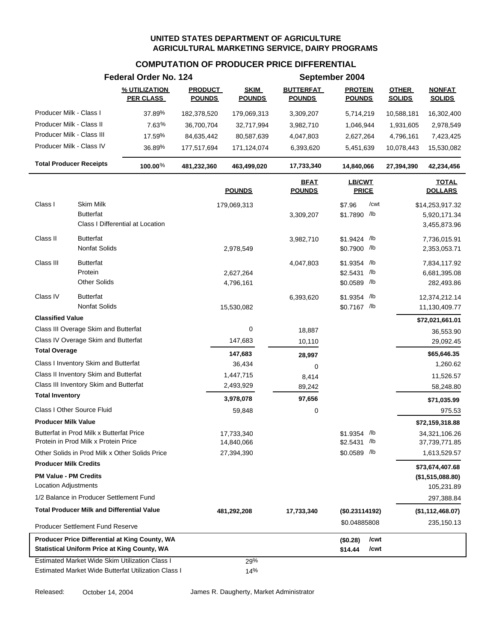#### **COMPUTATION OF PRODUCER PRICE DIFFERENTIAL**

|                                |                                                                                  | Federal Order No. 124                               |                                 |                              |                                   | September 2004                  |                               |                                     |
|--------------------------------|----------------------------------------------------------------------------------|-----------------------------------------------------|---------------------------------|------------------------------|-----------------------------------|---------------------------------|-------------------------------|-------------------------------------|
|                                |                                                                                  | % UTILIZATION<br><b>PER CLASS</b>                   | <b>PRODUCT</b><br><b>POUNDS</b> | <b>SKIM</b><br><b>POUNDS</b> | <b>BUTTERFAT</b><br><b>POUNDS</b> | <b>PROTEIN</b><br><b>POUNDS</b> | <b>OTHER</b><br><b>SOLIDS</b> | <b>NONFAT</b><br><b>SOLIDS</b>      |
| Producer Milk - Class I        |                                                                                  | 37.89%                                              | 182,378,520                     | 179,069,313                  | 3,309,207                         | 5,714,219                       | 10,588,181                    | 16,302,400                          |
| Producer Milk - Class II       |                                                                                  | $7.63\%$                                            | 36,700,704                      | 32,717,994                   | 3,982,710                         | 1,046,944                       | 1,931,605                     | 2,978,549                           |
| Producer Milk - Class III      |                                                                                  | 17.59%                                              | 84,635,442                      | 80,587,639                   | 4,047,803                         | 2,627,264                       | 4,796,161                     | 7,423,425                           |
| Producer Milk - Class IV       |                                                                                  | 36.89%                                              | 177,517,694                     | 171,124,074                  | 6,393,620                         | 5,451,639                       | 10,078,443                    | 15,530,082                          |
| <b>Total Producer Receipts</b> |                                                                                  | 100.00%                                             | 481,232,360                     | 463,499,020                  | 17,733,340                        | 14,840,066                      | 27,394,390                    | 42,234,456                          |
|                                |                                                                                  |                                                     |                                 | <b>POUNDS</b>                | <b>BFAT</b><br><b>POUNDS</b>      | <b>LB/CWT</b><br><b>PRICE</b>   |                               | <b>TOTAL</b><br><b>DOLLARS</b>      |
| Class I                        | <b>Skim Milk</b>                                                                 |                                                     |                                 | 179,069,313                  |                                   | /cwt<br>\$7.96                  |                               | \$14,253,917.32                     |
|                                | <b>Butterfat</b>                                                                 |                                                     |                                 |                              | 3,309,207                         | \$1.7890 /lb                    |                               | 5,920,171.34                        |
|                                |                                                                                  | Class I Differential at Location                    |                                 |                              |                                   |                                 |                               | 3,455,873.96                        |
| Class II                       | <b>Butterfat</b>                                                                 |                                                     |                                 |                              | 3,982,710                         | \$1.9424 /lb                    |                               | 7,736,015.91                        |
|                                | <b>Nonfat Solids</b>                                                             |                                                     |                                 | 2,978,549                    |                                   | \$0.7900 /lb                    |                               | 2,353,053.71                        |
| Class III                      | <b>Butterfat</b>                                                                 |                                                     |                                 |                              | 4,047,803                         | $$1.9354$ /lb                   |                               | 7,834,117.92                        |
|                                | Protein                                                                          |                                                     |                                 | 2,627,264                    |                                   | $$2.5431$ /lb                   |                               | 6,681,395.08                        |
|                                | <b>Other Solids</b>                                                              |                                                     |                                 | 4,796,161                    |                                   | \$0.0589 /lb                    |                               | 282,493.86                          |
| Class IV                       | <b>Butterfat</b>                                                                 |                                                     |                                 |                              | 6,393,620                         | \$1.9354 /lb                    |                               | 12,374,212.14                       |
|                                | Nonfat Solids                                                                    |                                                     |                                 | 15,530,082                   |                                   | \$0.7167 /lb                    |                               | 11,130,409.77                       |
| <b>Classified Value</b>        |                                                                                  |                                                     |                                 |                              |                                   |                                 |                               | \$72,021,661.01                     |
|                                | Class III Overage Skim and Butterfat                                             |                                                     |                                 | $\pmb{0}$                    | 18,887                            |                                 |                               | 36,553.90                           |
|                                | Class IV Overage Skim and Butterfat                                              |                                                     |                                 | 147,683                      | 10,110                            |                                 |                               | 29,092.45                           |
| <b>Total Overage</b>           |                                                                                  |                                                     |                                 | 147,683                      | 28,997                            |                                 |                               | \$65,646.35                         |
|                                | Class I Inventory Skim and Butterfat                                             |                                                     |                                 | 36,434                       | 0                                 |                                 |                               | 1,260.62                            |
|                                | Class II Inventory Skim and Butterfat                                            |                                                     |                                 | 1,447,715                    | 8,414                             |                                 |                               | 11,526.57                           |
|                                | Class III Inventory Skim and Butterfat                                           |                                                     |                                 | 2,493,929                    | 89,242                            |                                 |                               | 58,248.80                           |
| <b>Total Inventory</b>         |                                                                                  |                                                     |                                 | 3,978,078                    | 97,656                            |                                 |                               | \$71,035.99                         |
|                                | Class I Other Source Fluid                                                       |                                                     |                                 | 59,848                       | 0                                 |                                 |                               | 975.53                              |
| <b>Producer Milk Value</b>     |                                                                                  |                                                     |                                 |                              |                                   |                                 |                               | \$72,159,318.88                     |
|                                | Butterfat in Prod Milk x Butterfat Price<br>Protein in Prod Milk x Protein Price |                                                     |                                 | 17,733,340<br>14,840,066     |                                   | $$1.9354$ /lb<br>$$2.5431$ /lb  |                               | 34,321,106.26<br>37,739,771.85      |
|                                |                                                                                  | Other Solids in Prod Milk x Other Solids Price      |                                 | 27,394,390                   |                                   | \$0.0589 /lb                    |                               | 1,613,529.57                        |
| <b>Producer Milk Credits</b>   |                                                                                  |                                                     |                                 |                              |                                   |                                 |                               |                                     |
| <b>PM Value - PM Credits</b>   |                                                                                  |                                                     |                                 |                              |                                   |                                 |                               | \$73,674,407.68<br>(\$1,515,088.80) |
| Location Adjustments           |                                                                                  |                                                     |                                 |                              |                                   |                                 |                               | 105,231.89                          |
|                                | 1/2 Balance in Producer Settlement Fund                                          |                                                     |                                 |                              |                                   |                                 |                               | 297,388.84                          |
|                                | <b>Total Producer Milk and Differential Value</b>                                |                                                     |                                 | 481,292,208                  | 17,733,340                        | (\$0.23114192)                  |                               | (\$1,112,468.07)                    |
|                                | <b>Producer Settlement Fund Reserve</b>                                          |                                                     |                                 |                              |                                   | \$0.04885808                    |                               | 235,150.13                          |
|                                |                                                                                  | Producer Price Differential at King County, WA      |                                 |                              |                                   | /cwt<br>(\$0.28)                |                               |                                     |
|                                |                                                                                  | <b>Statistical Uniform Price at King County, WA</b> |                                 |                              |                                   | /cwt<br>\$14.44                 |                               |                                     |
|                                |                                                                                  | Estimated Market Wide Skim Utilization Class I      |                                 | 29%                          |                                   |                                 |                               |                                     |
|                                |                                                                                  | Estimated Market Wide Butterfat Utilization Class I |                                 | 14%                          |                                   |                                 |                               |                                     |

Released: October 14, 2004 James R. Daugherty, Market Administrator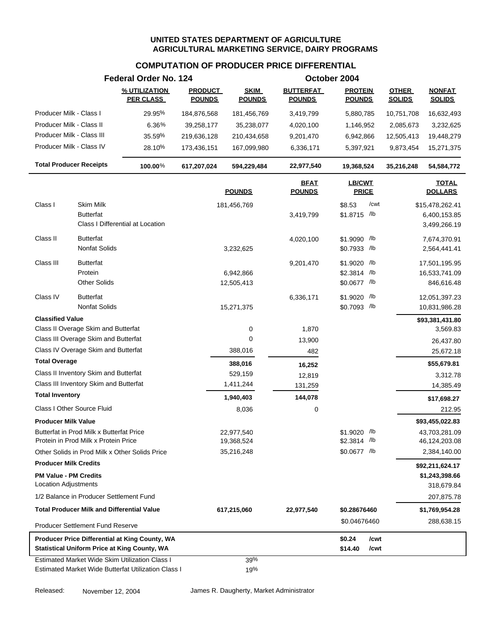#### **COMPUTATION OF PRODUCER PRICE DIFFERENTIAL**

|                                                                        | Federal Order No. 124             |                                 |                              |                                   | October 2004                    |                               |                                  |
|------------------------------------------------------------------------|-----------------------------------|---------------------------------|------------------------------|-----------------------------------|---------------------------------|-------------------------------|----------------------------------|
|                                                                        | % UTILIZATION<br><b>PER CLASS</b> | <b>PRODUCT</b><br><b>POUNDS</b> | <b>SKIM</b><br><b>POUNDS</b> | <b>BUTTERFAT</b><br><b>POUNDS</b> | <b>PROTEIN</b><br><b>POUNDS</b> | <b>OTHER</b><br><b>SOLIDS</b> | <b>NONFAT</b><br><b>SOLIDS</b>   |
| Producer Milk - Class I                                                | 29.95%                            | 184,876,568                     | 181,456,769                  | 3,419,799                         | 5,880,785                       | 10,751,708                    | 16,632,493                       |
| Producer Milk - Class II                                               | $6.36\%$                          | 39,258,177                      | 35,238,077                   | 4,020,100                         | 1,146,952                       | 2,085,673                     | 3,232,625                        |
| Producer Milk - Class III                                              | 35.59%                            | 219,636,128                     | 210,434,658                  | 9,201,470                         | 6,942,866                       | 12,505,413                    | 19,448,279                       |
| Producer Milk - Class IV                                               | 28.10%                            | 173,436,151                     | 167,099,980                  | 6,336,171                         | 5,397,921                       | 9,873,454                     | 15,271,375                       |
| <b>Total Producer Receipts</b>                                         | $100.00\%$                        | 617,207,024                     | 594,229,484                  | 22,977,540                        | 19,368,524                      | 35,216,248                    | 54,584,772                       |
|                                                                        |                                   |                                 | <b>POUNDS</b>                | <b>BFAT</b><br><b>POUNDS</b>      | <b>LB/CWT</b><br><b>PRICE</b>   |                               | <b>TOTAL</b><br><b>DOLLARS</b>   |
|                                                                        |                                   |                                 |                              |                                   |                                 |                               |                                  |
| Class I<br>Skim Milk<br><b>Butterfat</b>                               |                                   |                                 | 181,456,769                  | 3,419,799                         | /cwt<br>\$8.53<br>\$1.8715 /lb  |                               | \$15,478,262.41<br>6,400,153.85  |
| Class I Differential at Location                                       |                                   |                                 |                              |                                   |                                 |                               | 3,499,266.19                     |
| Class II<br><b>Butterfat</b>                                           |                                   |                                 |                              |                                   |                                 |                               |                                  |
| <b>Nonfat Solids</b>                                                   |                                   |                                 | 3,232,625                    | 4,020,100                         | \$1.9090 /lb<br>$$0.7933$ /lb   |                               | 7,674,370.91<br>2,564,441.41     |
|                                                                        |                                   |                                 |                              |                                   |                                 |                               |                                  |
| Class III<br><b>Butterfat</b>                                          |                                   |                                 |                              | 9,201,470                         | \$1.9020 /lb                    |                               | 17,501,195.95                    |
| Protein<br><b>Other Solids</b>                                         |                                   |                                 | 6,942,866<br>12,505,413      |                                   | \$2.3814 /b<br>\$0.0677 /lb     |                               | 16,533,741.09<br>846,616.48      |
|                                                                        |                                   |                                 |                              |                                   |                                 |                               |                                  |
| Class IV<br><b>Butterfat</b><br><b>Nonfat Solids</b>                   |                                   |                                 |                              | 6,336,171                         | $$1.9020$ /lb                   |                               | 12,051,397.23                    |
|                                                                        |                                   |                                 | 15,271,375                   |                                   | \$0.7093 /lb                    |                               | 10,831,986.28                    |
| <b>Classified Value</b><br>Class II Overage Skim and Butterfat         |                                   |                                 |                              |                                   |                                 |                               | \$93,381,431.80                  |
| Class III Overage Skim and Butterfat                                   |                                   |                                 | 0<br>0                       | 1,870<br>13,900                   |                                 |                               | 3,569.83                         |
| Class IV Overage Skim and Butterfat                                    |                                   |                                 | 388,016                      | 482                               |                                 |                               | 26,437.80<br>25,672.18           |
| <b>Total Overage</b>                                                   |                                   |                                 |                              |                                   |                                 |                               |                                  |
| Class II Inventory Skim and Butterfat                                  |                                   |                                 | 388,016<br>529,159           | 16,252                            |                                 |                               | \$55,679.81                      |
| Class III Inventory Skim and Butterfat                                 |                                   |                                 | 1,411,244                    | 12,819<br>131,259                 |                                 |                               | 3,312.78<br>14,385.49            |
| <b>Total Inventory</b>                                                 |                                   |                                 | 1,940,403                    | 144,078                           |                                 |                               |                                  |
| Class I Other Source Fluid                                             |                                   |                                 | 8,036                        | 0                                 |                                 |                               | \$17,698.27                      |
|                                                                        |                                   |                                 |                              |                                   |                                 |                               | 212.95                           |
| <b>Producer Milk Value</b><br>Butterfat in Prod Milk x Butterfat Price |                                   |                                 | 22,977,540                   |                                   | \$1.9020 /lb                    |                               | \$93,455,022.83<br>43,703,281.09 |
| Protein in Prod Milk x Protein Price                                   |                                   |                                 | 19,368,524                   |                                   | $$2.3814$ /lb                   |                               | 46,124,203.08                    |
| Other Solids in Prod Milk x Other Solids Price                         |                                   |                                 | 35,216,248                   |                                   | \$0.0677 /lb                    |                               | 2,384,140.00                     |
| <b>Producer Milk Credits</b>                                           |                                   |                                 |                              |                                   |                                 |                               | \$92,211,624.17                  |
| <b>PM Value - PM Credits</b>                                           |                                   |                                 |                              |                                   |                                 |                               | \$1,243,398.66                   |
| <b>Location Adjustments</b>                                            |                                   |                                 |                              |                                   |                                 |                               | 318,679.84                       |
| 1/2 Balance in Producer Settlement Fund                                |                                   |                                 |                              |                                   |                                 |                               | 207,875.78                       |
| <b>Total Producer Milk and Differential Value</b>                      |                                   |                                 | 617,215,060                  | 22,977,540                        | \$0.28676460                    |                               | \$1,769,954.28                   |
| <b>Producer Settlement Fund Reserve</b>                                |                                   |                                 |                              |                                   | \$0.04676460                    |                               | 288,638.15                       |
| Producer Price Differential at King County, WA                         |                                   |                                 |                              |                                   | \$0.24<br>/cwt                  |                               |                                  |
| <b>Statistical Uniform Price at King County, WA</b>                    |                                   |                                 |                              |                                   | \$14.40<br>/cwt                 |                               |                                  |
| <b>Estimated Market Wide Skim Utilization Class I</b>                  |                                   |                                 | 39%                          |                                   |                                 |                               |                                  |
| Estimated Market Wide Butterfat Utilization Class I                    |                                   |                                 | 19%                          |                                   |                                 |                               |                                  |

Released: November 12, 2004 James R. Daugherty, Market Administrator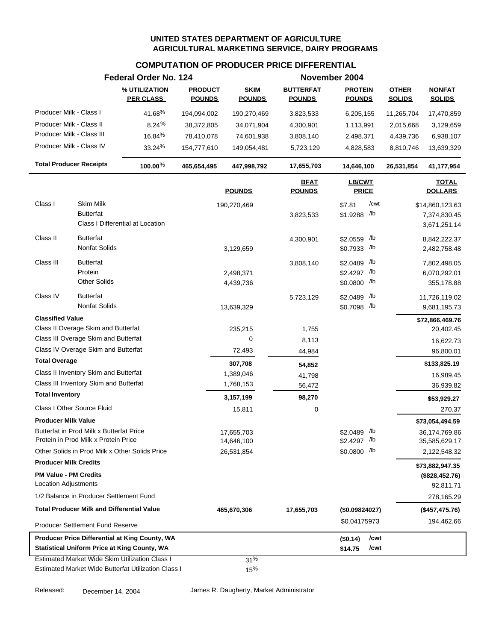#### **COMPUTATION OF PRODUCER PRICE DIFFERENTIAL**

|                                                             |                                                   | Federal Order No. 124                                 |                                 |                              |                                   | November 2004                   |                               |                                |
|-------------------------------------------------------------|---------------------------------------------------|-------------------------------------------------------|---------------------------------|------------------------------|-----------------------------------|---------------------------------|-------------------------------|--------------------------------|
|                                                             |                                                   | % UTILIZATION<br><b>PER CLASS</b>                     | <b>PRODUCT</b><br><b>POUNDS</b> | <b>SKIM</b><br><b>POUNDS</b> | <b>BUTTERFAT</b><br><b>POUNDS</b> | <b>PROTEIN</b><br><b>POUNDS</b> | <b>OTHER</b><br><b>SOLIDS</b> | <b>NONFAT</b><br><b>SOLIDS</b> |
| Producer Milk - Class I                                     |                                                   | 41.68%                                                | 194,094,002                     | 190,270,469                  | 3,823,533                         | 6,205,155                       | 11,265,704                    | 17,470,859                     |
| Producer Milk - Class II                                    |                                                   | 8.24%                                                 | 38,372,805                      | 34,071,904                   | 4,300,901                         | 1,113,991                       | 2,015,668                     | 3,129,659                      |
| Producer Milk - Class III                                   |                                                   | 16.84%                                                | 78,410,078                      | 74,601,938                   | 3,808,140                         | 2,498,371                       | 4,439,736                     | 6,938,107                      |
| Producer Milk - Class IV                                    |                                                   | 33.24%                                                | 154,777,610                     | 149,054,481                  | 5,723,129                         | 4,828,583                       | 8,810,746                     | 13,639,329                     |
| <b>Total Producer Receipts</b>                              |                                                   | 100.00 $%$                                            | 465,654,495                     | 447,998,792                  | 17,655,703                        | 14,646,100                      | 26,531,854                    | 41,177,954                     |
|                                                             |                                                   |                                                       |                                 | <b>POUNDS</b>                | <u>BFAT</u><br><b>POUNDS</b>      | LB/CWT<br><b>PRICE</b>          |                               | <b>TOTAL</b><br><b>DOLLARS</b> |
| Class I                                                     | Skim Milk                                         |                                                       |                                 | 190,270,469                  |                                   | /cwt<br>\$7.81                  |                               | \$14,860,123.63                |
|                                                             | <b>Butterfat</b>                                  |                                                       |                                 |                              | 3,823,533                         | $/$ lb<br>\$1.9288              |                               | 7,374,830.45                   |
|                                                             |                                                   | Class I Differential at Location                      |                                 |                              |                                   |                                 |                               | 3,671,251.14                   |
| Class II                                                    | <b>Butterfat</b>                                  |                                                       |                                 |                              | 4,300,901                         | /lb<br>\$2.0559                 |                               | 8,842,222.37                   |
|                                                             | Nonfat Solids                                     |                                                       |                                 | 3,129,659                    |                                   | \$0.7933 /lb                    |                               | 2,482,758.48                   |
| Class III                                                   | <b>Butterfat</b>                                  |                                                       |                                 |                              | 3,808,140                         | /lb<br>\$2.0489                 |                               | 7,802,498.05                   |
|                                                             | Protein                                           |                                                       |                                 | 2,498,371                    |                                   | \$2.4297 /lb                    |                               | 6,070,292.01                   |
|                                                             | <b>Other Solids</b>                               |                                                       |                                 | 4,439,736                    |                                   | \$0.0800 /lb                    |                               | 355,178.88                     |
| Class IV                                                    | <b>Butterfat</b>                                  |                                                       |                                 |                              | 5,723,129                         | /lb<br>\$2.0489                 |                               | 11,726,119.02                  |
|                                                             | Nonfat Solids                                     |                                                       |                                 | 13,639,329                   |                                   | \$0.7098 /lb                    |                               | 9,681,195.73                   |
| <b>Classified Value</b>                                     |                                                   |                                                       |                                 |                              |                                   |                                 |                               | \$72,866,469.76                |
|                                                             | Class II Overage Skim and Butterfat               |                                                       |                                 | 235,215                      | 1,755                             |                                 |                               | 20,402.45                      |
|                                                             | Class III Overage Skim and Butterfat              |                                                       |                                 | 0                            | 8,113                             |                                 |                               | 16,622.73                      |
|                                                             | Class IV Overage Skim and Butterfat               |                                                       |                                 | 72,493                       | 44,984                            |                                 |                               | 96,800.01                      |
| <b>Total Overage</b>                                        |                                                   |                                                       |                                 | 307,708                      | 54,852                            |                                 |                               | \$133,825.19                   |
|                                                             | Class II Inventory Skim and Butterfat             |                                                       |                                 | 1,389,046                    | 41,798                            |                                 |                               | 16,989.45                      |
|                                                             | Class III Inventory Skim and Butterfat            |                                                       |                                 | 1,768,153                    | 56,472                            |                                 |                               | 36,939.82                      |
| <b>Total Inventory</b>                                      |                                                   |                                                       |                                 | 3,157,199                    | 98,270                            |                                 |                               | \$53,929.27                    |
|                                                             | Class I Other Source Fluid                        |                                                       |                                 | 15,811                       | 0                                 |                                 |                               | 270.37                         |
| <b>Producer Milk Value</b>                                  |                                                   |                                                       |                                 |                              |                                   |                                 |                               | \$73,054,494.59                |
|                                                             | Butterfat in Prod Milk x Butterfat Price          |                                                       |                                 | 17,655,703                   |                                   | \$2.0489 /lb                    |                               | 36,174,769.86                  |
|                                                             | Protein in Prod Milk x Protein Price              |                                                       |                                 | 14,646,100                   |                                   | \$2.4297 /lb                    |                               | 35,585,629.17                  |
|                                                             |                                                   | Other Solids in Prod Milk x Other Solids Price        |                                 | 26,531,854                   |                                   | $$0.0800$ /lb                   |                               | 2,122,548.32                   |
| <b>Producer Milk Credits</b>                                |                                                   |                                                       |                                 |                              |                                   |                                 |                               | \$73,882,947.35                |
| <b>PM Value - PM Credits</b><br><b>Location Adjustments</b> |                                                   |                                                       |                                 |                              |                                   |                                 |                               | (\$828,452.76)                 |
|                                                             | 1/2 Balance in Producer Settlement Fund           |                                                       |                                 |                              |                                   |                                 |                               | 92,811.71                      |
|                                                             | <b>Total Producer Milk and Differential Value</b> |                                                       |                                 |                              |                                   |                                 |                               | 278,165.29                     |
|                                                             |                                                   |                                                       |                                 | 465,670,306                  | 17,655,703                        | (\$0.09824027)                  |                               | (\$457, 475.76)                |
|                                                             | <b>Producer Settlement Fund Reserve</b>           |                                                       |                                 |                              |                                   | \$0.04175973                    |                               | 194,462.66                     |
|                                                             |                                                   | Producer Price Differential at King County, WA        |                                 |                              |                                   | /cwt<br>(\$0.14)                |                               |                                |
|                                                             |                                                   | <b>Statistical Uniform Price at King County, WA</b>   |                                 |                              |                                   | \$14.75<br>/cwt                 |                               |                                |
|                                                             |                                                   | <b>Estimated Market Wide Skim Utilization Class I</b> |                                 | 31%                          |                                   |                                 |                               |                                |
|                                                             |                                                   | Estimated Market Wide Butterfat Utilization Class I   |                                 | 15%                          |                                   |                                 |                               |                                |

Released: December 14, 2004 James R. Daugherty, Market Administrator